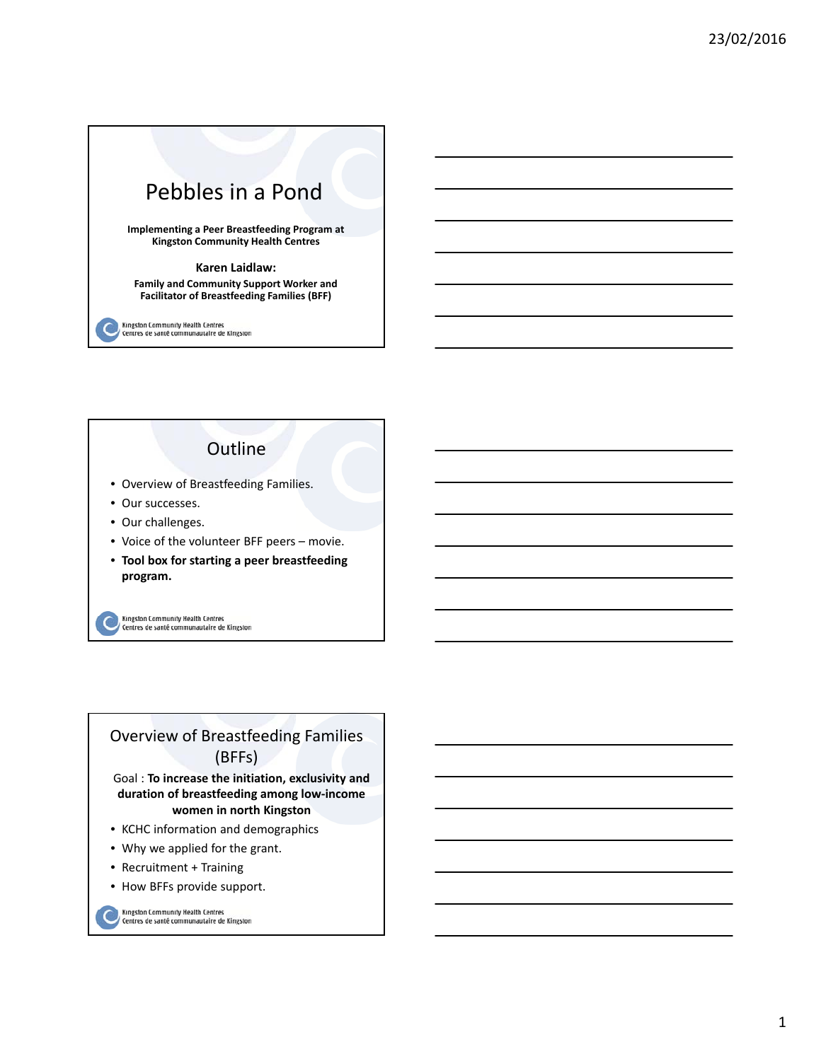

Kingston Community Health Centres<br>Centres de santé communautaire de Kingston

# **Outline**

- Overview of Breastfeeding Families.
- Our successes.
- Our challenges.
- Voice of the volunteer BFF peers movie.
- **Tool box for starting a peer breastfeeding program.**

Kingston Community Health Centres<br>Centres de santé communautaire de Kingston

# Overview of Breastfeeding Families (BFFs)

Goal : **To increase the initiation, exclusivity and duration of breastfeeding among low‐income women in north Kingston**

- KCHC information and demographics
- Why we applied for the grant.
- Recruitment + Training
- How BFFs provide support.

Kingston Community Health Centres<br>Centres de santé communautaire de Kingston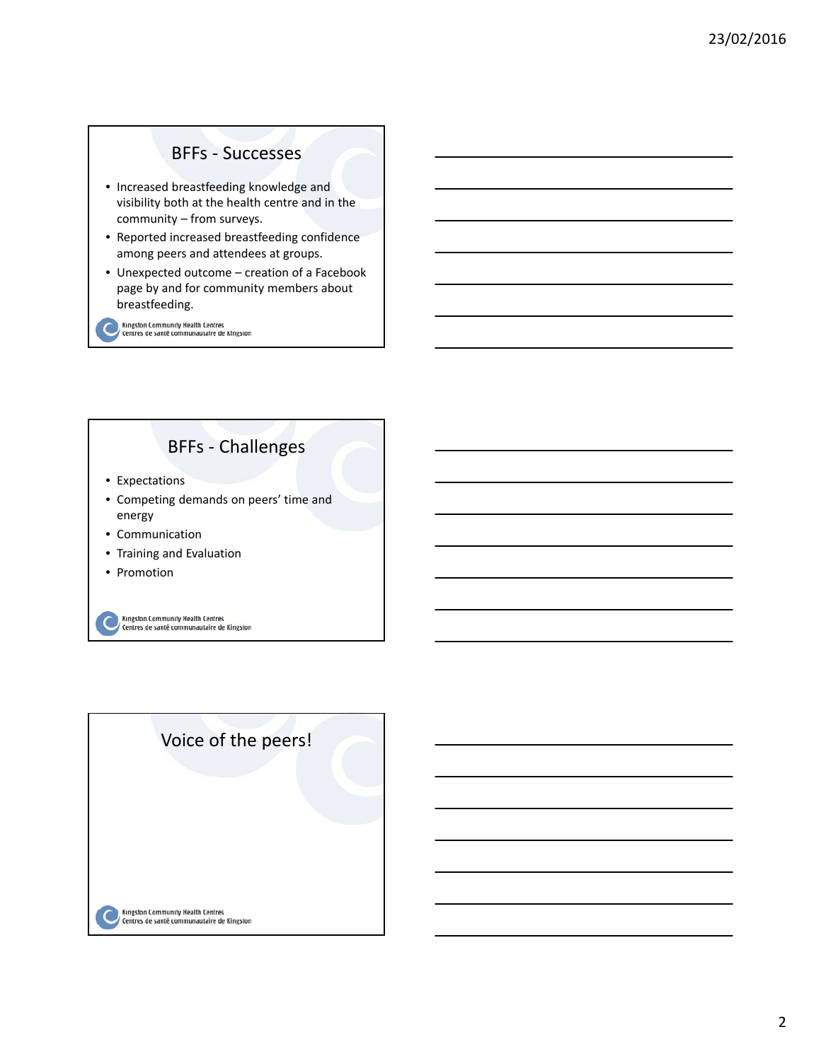### BFFs ‐ Successes

- Increased breastfeeding knowledge and visibility both at the health centre and in the community – from surveys.
- Reported increased breastfeeding confidence among peers and attendees at groups.
- Unexpected outcome creation of a Facebook page by and for community members about breastfeeding.

Kingston Community Health Centres<br>Centres de santé communautaire de Kingston

# BFFs ‐ Challenges

- Expectations
- Competing demands on peers' time and energy
- Communication
- Training and Evaluation
- Promotion

Kingston Community Health Centres<br><sup>/</sup> Centres de santé communautaire de Kingston

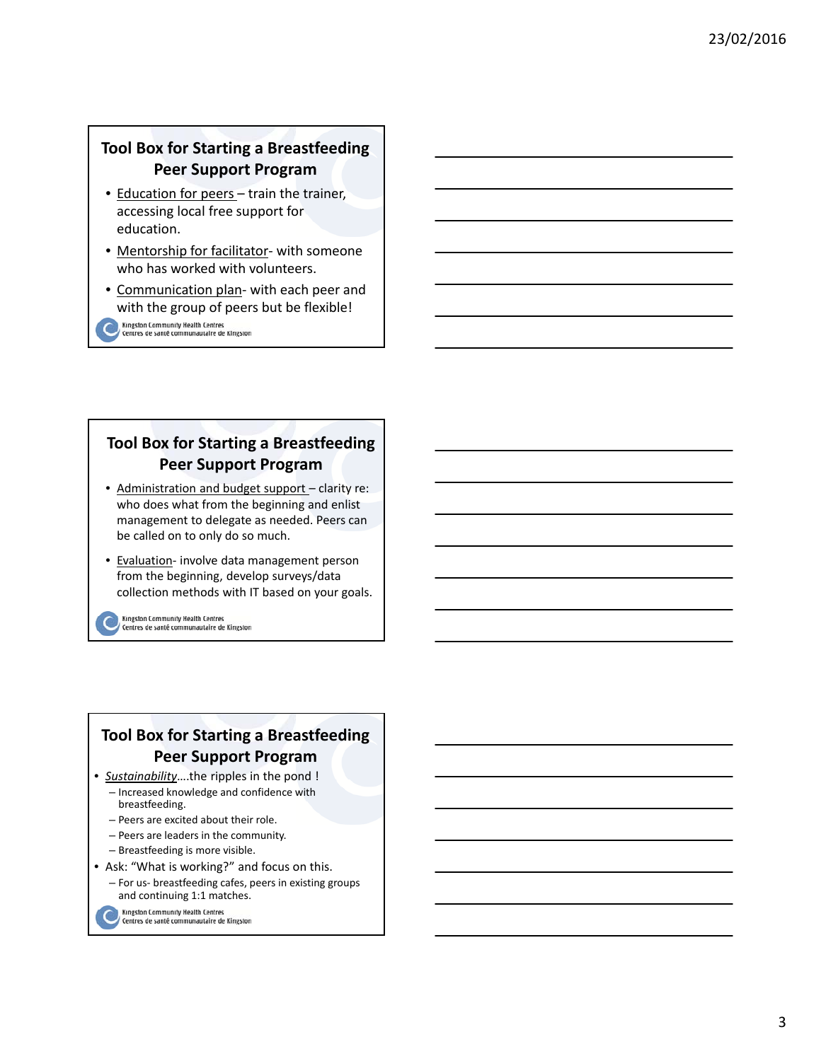## **Tool Box for Starting a Breastfeeding Peer Support Program**

- Education for peers train the trainer, accessing local free support for education.
- Mentorship for facilitator‐ with someone who has worked with volunteers.
- Communication plan‐ with each peer and with the group of peers but be flexible!
	- Kingston Community Health Centres<br>Centres de santé communautaire de Kingston

### **Tool Box for Starting a Breastfeeding Peer Support Program**

- Administration and budget support clarity re: who does what from the beginning and enlist management to delegate as needed. Peers can be called on to only do so much.
- Evaluation- involve data management person from the beginning, develop surveys/data collection methods with IT based on your goals.

Kingston Community Health Centres<br>Centres de santé communautaire de Kingston

# **Tool Box for Starting a Breastfeeding Peer Support Program**

- *Sustainability*….the ripples in the pond ! – Increased knowledge and confidence with
	- breastfeeding.
	- Peers are excited about their role. – Peers are leaders in the community.
	-
	- Breastfeeding is more visible.
- Ask: "What is working?" and focus on this.
	- For us‐ breastfeeding cafes, peers in existing groups and continuing 1:1 matches.

Kingston Community Health Centres<br>Centres de santé communautaire de Kingston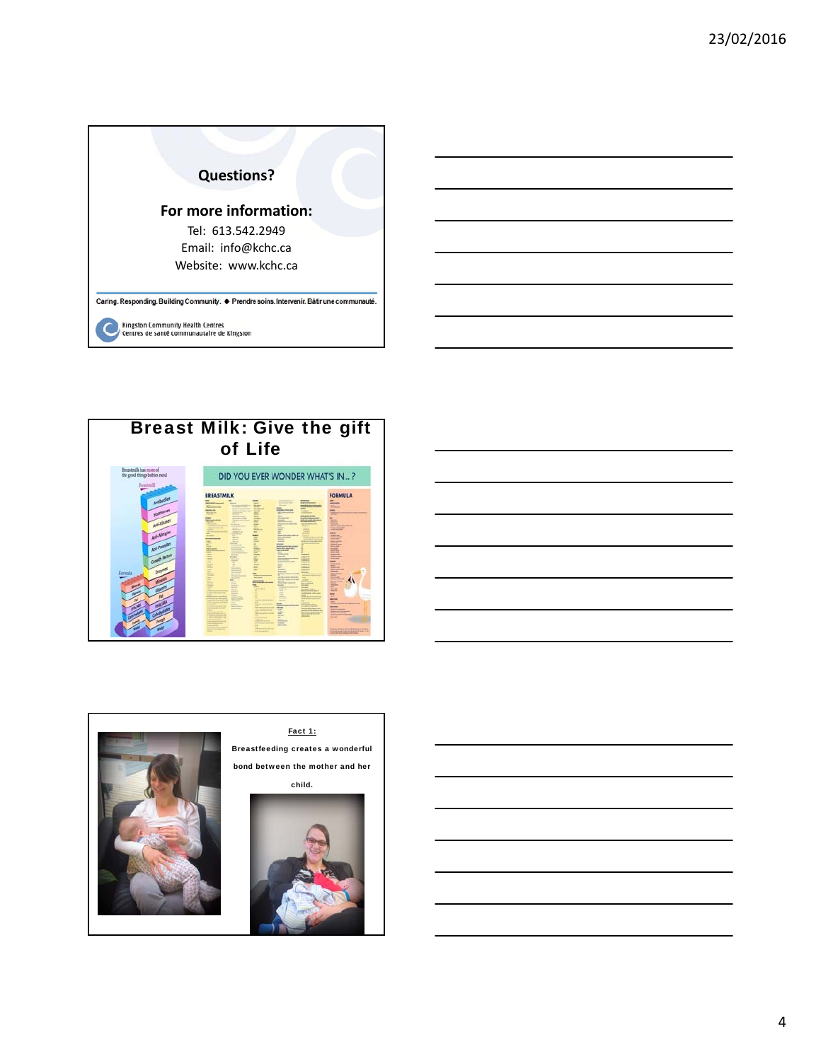





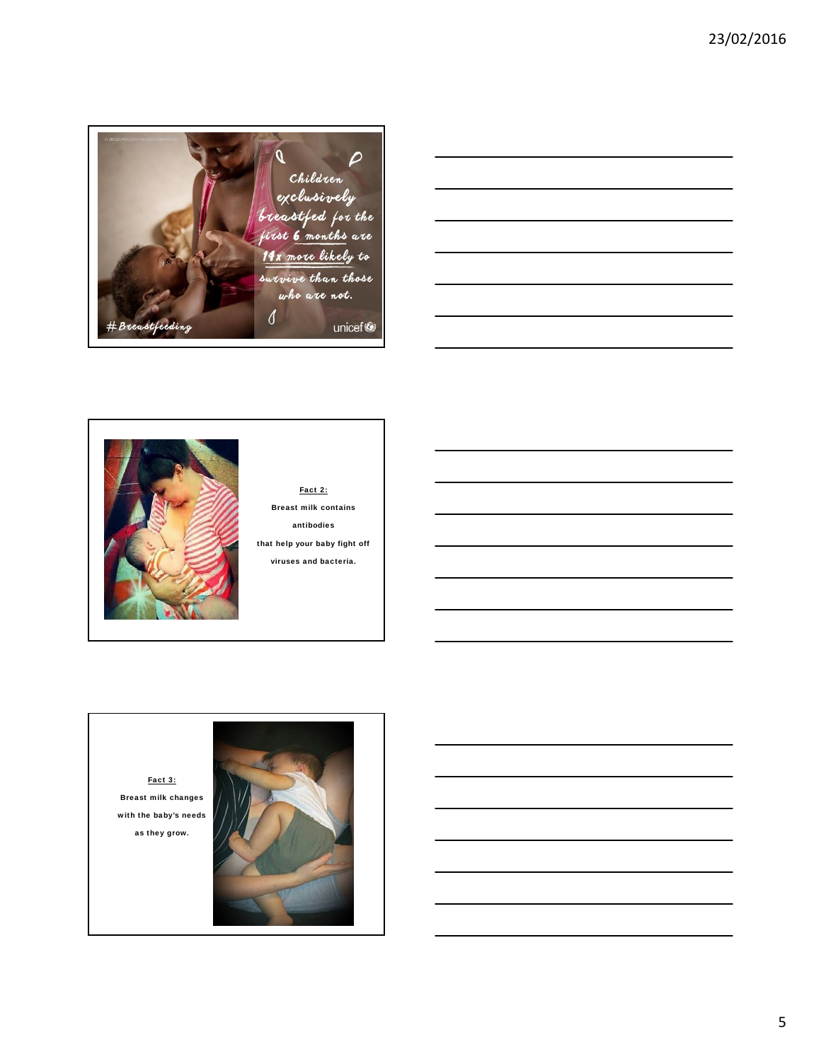





Breast milk contains antibodies that help your baby fight off



5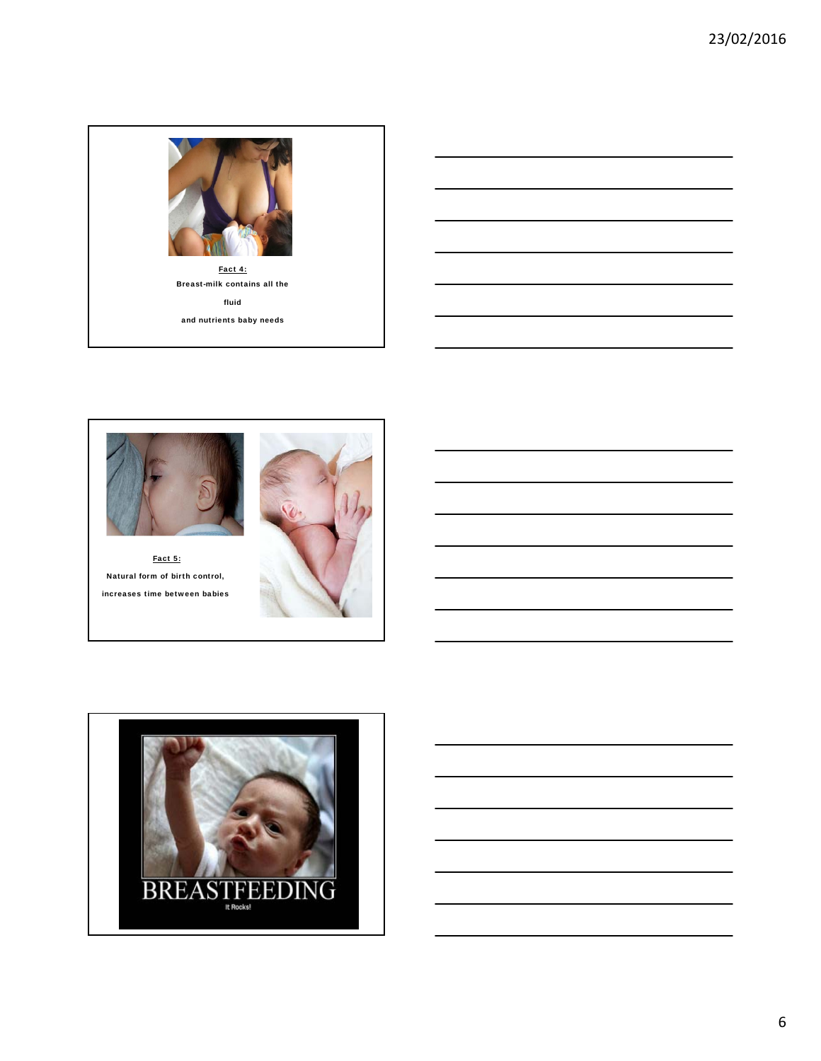



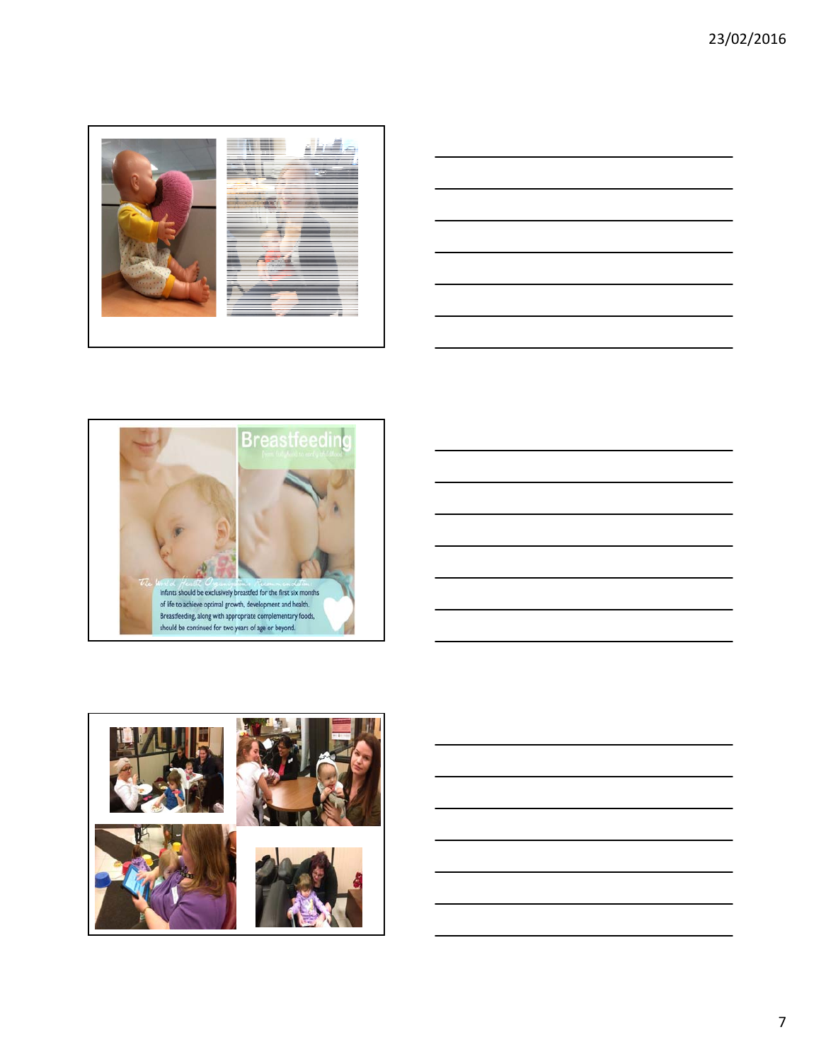







7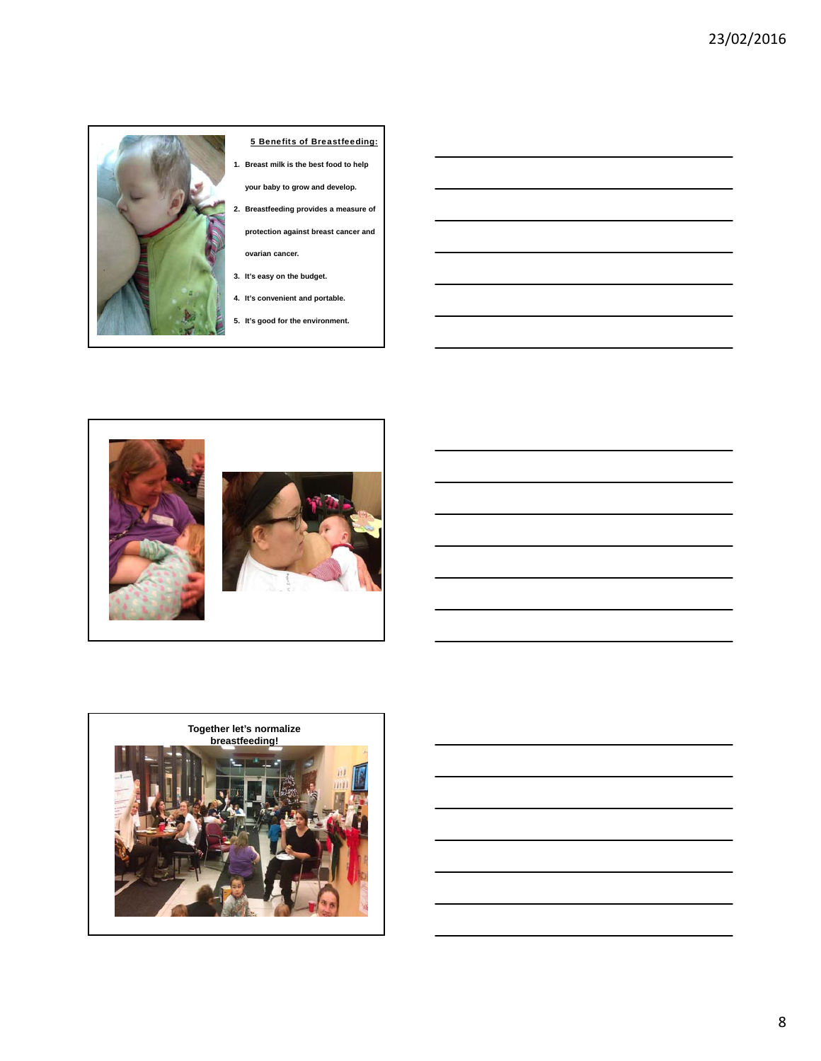

#### 5 Benefits of Breastfeeding:

**1. Breast milk is the best food to help** 

**your baby to grow and develop.**

**2. Breastfeeding provides a measure of protection against breast cancer and** 

**ovarian cancer.**

- **3. It's easy on the budget.**
- **4. It's convenient and portable.**
- **5. It's good for the environment.**